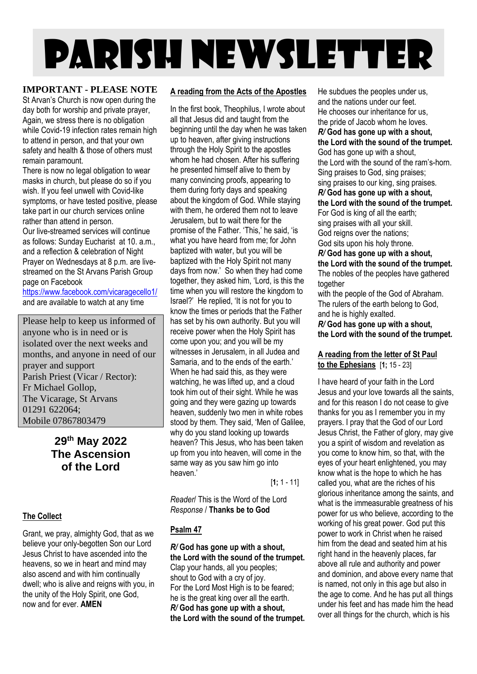# PARISH NEWSLETTER

#### **IMPORTANT - PLEASE NOTE**

St Arvan's Church is now open during the day both for worship and private prayer, Again, we stress there is no obligation while Covid-19 infection rates remain high to attend in person, and that your own safety and health & those of others must remain paramount.

There is now no legal obligation to wear masks in church, but please do so if you wish. If you feel unwell with Covid-like symptoms, or have tested positive, please take part in our church services online rather than attend in person.

Our live-streamed services will continue as follows: Sunday Eucharist at 10. a.m., and a reflection & celebration of Night Prayer on Wednesdays at 8 p.m. are livestreamed on the St Arvans Parish Group page on Facebook

<https://www.facebook.com/vicaragecello1/> and are available to watch at any time

Please help to keep us informed of anyone who is in need or is isolated over the next weeks and months, and anyone in need of our prayer and support Parish Priest (Vicar / Rector): Fr Michael Gollop, The Vicarage, St Arvans 01291 622064; Mobile 07867803479

### **29 th May 2022 The Ascension of the Lord**

#### **The Collect**

Grant, we pray, almighty God, that as we believe your only-begotten Son our Lord Jesus Christ to have ascended into the heavens, so we in heart and mind may also ascend and with him continually dwell; who is alive and reigns with you, in the unity of the Holy Spirit, one God, now and for ever. **AMEN**

#### **A reading from the Acts of the Apostles**

In the first book, Theophilus, I wrote about all that Jesus did and taught from the beginning until the day when he was taken up to heaven, after giving instructions through the Holy Spirit to the apostles whom he had chosen. After his suffering he presented himself alive to them by many convincing proofs, appearing to them during forty days and speaking about the kingdom of God. While staying with them, he ordered them not to leave Jerusalem, but to wait there for the promise of the Father. 'This,' he said, 'is what you have heard from me; for John baptized with water, but you will be baptized with the Holy Spirit not many days from now.' So when they had come together, they asked him, 'Lord, is this the time when you will restore the kingdom to Israel?' He replied, 'It is not for you to know the times or periods that the Father has set by his own authority. But you will receive power when the Holy Spirit has come upon you; and you will be my witnesses in Jerusalem, in all Judea and Samaria, and to the ends of the earth.' When he had said this, as they were watching, he was lifted up, and a cloud took him out of their sight. While he was going and they were gazing up towards heaven, suddenly two men in white robes stood by them. They said, 'Men of Galilee, why do you stand looking up towards heaven? This Jesus, who has been taken up from you into heaven, will come in the same way as you saw him go into heaven.'

[**1;** 1 - 11]

*Reader*/ This is the Word of the Lord *Response* / **Thanks be to God**

#### **Psalm 47**

*R/* **God has gone up with a shout, the Lord with the sound of the trumpet.** Clap your hands, all you peoples; shout to God with a cry of joy. For the Lord Most High is to be feared; he is the great king over all the earth. *R/* **God has gone up with a shout, the Lord with the sound of the trumpet.** He subdues the peoples under us, and the nations under our feet. He chooses our inheritance for us, the pride of Jacob whom he loves. *R/* **God has gone up with a shout, the Lord with the sound of the trumpet.** God has gone up with a shout, the Lord with the sound of the ram's-horn. Sing praises to God, sing praises; sing praises to our king, sing praises. *R/* **God has gone up with a shout,**

**the Lord with the sound of the trumpet.** For God is king of all the earth;

sing praises with all your skill.

God reigns over the nations;

God sits upon his holy throne.

*R/* **God has gone up with a shout, the Lord with the sound of the trumpet.** The nobles of the peoples have gathered

together with the people of the God of Abraham. The rulers of the earth belong to God, and he is highly exalted.

*R/* **God has gone up with a shout, the Lord with the sound of the trumpet.**

#### **A reading from the letter of St Paul to the Ephesians** [**1;** 15 - 23]

I have heard of your faith in the Lord Jesus and your love towards all the saints, and for this reason I do not cease to give thanks for you as I remember you in my prayers. I pray that the God of our Lord Jesus Christ, the Father of glory, may give you a spirit of wisdom and revelation as you come to know him, so that, with the eyes of your heart enlightened, you may know what is the hope to which he has called you, what are the riches of his glorious inheritance among the saints, and what is the immeasurable greatness of his power for us who believe, according to the working of his great power. God put this power to work in Christ when he raised him from the dead and seated him at his right hand in the heavenly places, far above all rule and authority and power and dominion, and above every name that is named, not only in this age but also in the age to come. And he has put all things under his feet and has made him the head over all things for the church, which is his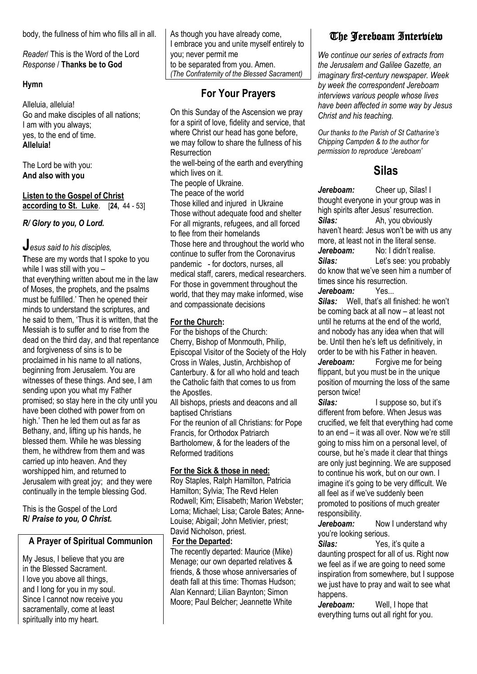body, the fullness of him who fills all in all.

*Reader*/ This is the Word of the Lord *Response* / **Thanks be to God**

#### **Hymn**

Alleluia, alleluia! Go and make disciples of all nations; I am with you always; yes, to the end of time. **Alleluia!**

The Lord be with you: **And also with you** 

**Listen to the Gospel of Christ according to St. Luke**. [**24,** 44 - 53]

*R/ Glory to you, O Lord.*

# **J***esus said to his disciples,*

**T**hese are my words that I spoke to you while I was still with you – that everything written about me in the law of Moses, the prophets, and the psalms must be fulfilled.' Then he opened their minds to understand the scriptures, and he said to them, 'Thus it is written, that the Messiah is to suffer and to rise from the dead on the third day, and that repentance and forgiveness of sins is to be proclaimed in his name to all nations, beginning from Jerusalem. You are witnesses of these things. And see, I am sending upon you what my Father promised; so stay here in the city until you have been clothed with power from on high.' Then he led them out as far as Bethany, and, lifting up his hands, he blessed them. While he was blessing them, he withdrew from them and was carried up into heaven. And they worshipped him, and returned to Jerusalem with great joy; and they were continually in the temple blessing God.

This is the Gospel of the Lord **R/** *Praise to you, O Christ.*

#### **A Prayer of Spiritual Communion**

My Jesus, I believe that you are in the Blessed Sacrament. I love you above all things, and I long for you in my soul. Since I cannot now receive you sacramentally, come at least spiritually into my heart.

As though you have already come, I embrace you and unite myself entirely to you; never permit me to be separated from you. Amen. *(The Confraternity of the Blessed Sacrament)*

# **For Your Prayers**

On this Sunday of the Ascension we pray for a spirit of love, fidelity and service, that where Christ our head has gone before, we may follow to share the fullness of his **Resurrection** 

the well-being of the earth and everything which lives on it.

The people of Ukraine.

The peace of the world

Those killed and injured in Ukraine Those without adequate food and shelter For all migrants, refugees, and all forced to flee from their homelands Those here and throughout the world who continue to suffer from the Coronavirus pandemic - for doctors, nurses, all medical staff, carers, medical researchers. For those in government throughout the world, that they may make informed, wise and compassionate decisions

#### **For the Church:**

For the bishops of the Church: Cherry, Bishop of Monmouth, Philip, Episcopal Visitor of the Society of the Holy Cross in Wales, Justin, Archbishop of Canterbury. & for all who hold and teach the Catholic faith that comes to us from the Apostles.

All bishops, priests and deacons and all baptised Christians

For the reunion of all Christians: for Pope Francis, for Orthodox Patriarch Bartholomew, & for the leaders of the Reformed traditions

#### **For the Sick & those in need:**

Roy Staples, Ralph Hamilton, Patricia Hamilton; Sylvia; The Revd Helen Rodwell; Kim; Elisabeth; Marion Webster; Lorna; Michael; Lisa; Carole Bates; Anne-Louise; Abigail; John Metivier, priest; David Nicholson, priest.

#### **For the Departed:**

The recently departed: Maurice (Mike) Menage; our own departed relatives & friends, & those whose anniversaries of death fall at this time: Thomas Hudson; Alan Kennard; Lilian Baynton; Simon Moore; Paul Belcher; Jeannette White

# The Jereboam Interview

*We continue our series of extracts from the Jerusalem and Galilee Gazette, an imaginary first-century newspaper. Week by week the correspondent Jereboam interviews various people whose lives have been affected in some way by Jesus Christ and his teaching.*

*Our thanks to the Parish of St Catharine's Chipping Campden & to the author for permission to reproduce 'Jereboam'*

## **Silas**

*Jereboam:* Cheer up, Silas! I thought everyone in your group was in high spirits after Jesus' resurrection. *Silas:* Ah, you obviously haven't heard: Jesus won't be with us any more, at least not in the literal sense. *Jereboam:* No: I didn't realise. *Silas:* Let's see: you probably do know that we've seen him a number of times since his resurrection.<br>Jerehoam: Yes...

#### *Jereboam:*

*Silas:* Well, that's all finished: he won't be coming back at all now – at least not until he returns at the end of the world, and nobody has any idea when that will be. Until then he's left us definitively, in order to be with his Father in heaven. *Jereboam:* Forgive me for being

flippant, but you must be in the unique position of mourning the loss of the same person twice!

*Silas:* I suppose so, but it's different from before. When Jesus was crucified, we felt that everything had come to an end – it was all over. Now we're still going to miss him on a personal level, of course, but he's made it clear that things are only just beginning. We are supposed to continue his work, but on our own. I imagine it's going to be very difficult. We all feel as if we've suddenly been promoted to positions of much greater responsibility.

*Jereboam:* Now I understand why you're looking serious.

*Silas:* Yes, it's quite a daunting prospect for all of us. Right now we feel as if we are going to need some inspiration from somewhere, but I suppose we just have to pray and wait to see what happens.

*Jereboam:* Well, I hope that everything turns out all right for you.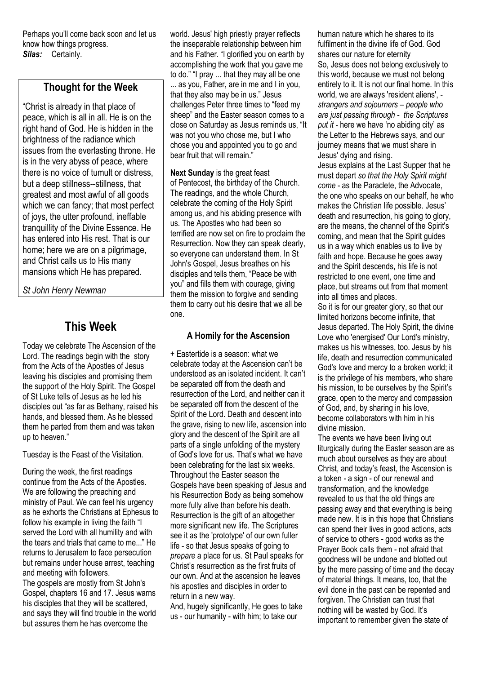Perhaps you'll come back soon and let us know how things progress. *Silas:* Certainly.

## **Thought for the Week**

"Christ is already in that place of peace, which is all in all. He is on the right hand of God. He is hidden in the brightness of the radiance which issues from the everlasting throne. He is in the very abyss of peace, where there is no voice of tumult or distress, but a deep stillness--stillness, that greatest and most awful of all goods which we can fancy; that most perfect of joys, the utter profound, ineffable tranquillity of the Divine Essence. He has entered into His rest. That is our home; here we are on a pilgrimage, and Christ calls us to His many mansions which He has prepared.

*St John Henry Newman*

# **This Week**

Today we celebrate The Ascension of the Lord. The readings begin with the story from the Acts of the Apostles of Jesus leaving his disciples and promising them the support of the Holy Spirit. The Gospel of St Luke tells of Jesus as he led his disciples out "as far as Bethany, raised his hands, and blessed them. As he blessed them he parted from them and was taken up to heaven."

Tuesday is the Feast of the Visitation.

During the week, the first readings continue from the Acts of the Apostles. We are following the preaching and ministry of Paul. We can feel his urgency as he exhorts the Christians at Ephesus to follow his example in living the faith "I served the Lord with all humility and with the tears and trials that came to me..." He returns to Jerusalem to face persecution but remains under house arrest, teaching and meeting with followers. The gospels are mostly from St John's Gospel, chapters 16 and 17. Jesus warns his disciples that they will be scattered, and says they will find trouble in the world but assures them he has overcome the

world. Jesus' high priestly prayer reflects the inseparable relationship between him and his Father. "I glorified you on earth by accomplishing the work that you gave me to do." "I pray ... that they may all be one ... as you, Father, are in me and I in you, that they also may be in us." Jesus challenges Peter three times to "feed my sheep" and the Easter season comes to a close on Saturday as Jesus reminds us, "It was not you who chose me, but I who chose you and appointed you to go and bear fruit that will remain."

**Next Sunday** is the great feast of Pentecost, the birthday of the Church. The readings, and the whole Church, celebrate the coming of the Holy Spirit among us, and his abiding presence with us. The Apostles who had been so terrified are now set on fire to proclaim the Resurrection. Now they can speak clearly, so everyone can understand them. In St John's Gospel, Jesus breathes on his disciples and tells them, "Peace be with you" and fills them with courage, giving them the mission to forgive and sending them to carry out his desire that we all be one.

#### **A Homily for the Ascension**

+ Eastertide is a season: what we celebrate today at the Ascension can't be understood as an isolated incident. It can't be separated off from the death and resurrection of the Lord, and neither can it be separated off from the descent of the Spirit of the Lord. Death and descent into the grave, rising to new life, ascension into glory and the descent of the Spirit are all parts of a single unfolding of the mystery of God's love for us. That's what we have been celebrating for the last six weeks. Throughout the Easter season the Gospels have been speaking of Jesus and his Resurrection Body as being somehow more fully alive than before his death. Resurrection is the gift of an altogether more significant new life. The Scriptures see it as the 'prototype' of our own fuller life - so that Jesus speaks of going to *prepare* a place for us. St Paul speaks for Christ's resurrection as the first fruits of our own. And at the ascension he leaves his apostles and disciples in order to return in a new way.

And, hugely significantly, He goes to take us - our humanity - with him; to take our

human nature which he shares to its fulfilment in the divine life of God. God shares our nature for eternity So, Jesus does not belong exclusively to this world, because we must not belong entirely to it. It is not our final home. In this world, we are always 'resident aliens', *strangers and sojourners – people who are just passing through - the Scriptures put it* - here we have 'no abiding city' as the Letter to the Hebrews says, and our journey means that we must share in Jesus' dying and rising.

Jesus explains at the Last Supper that he must depart *so that the Holy Spirit might come* - as the Paraclete, the Advocate, the one who speaks on our behalf, he who makes the Christian life possible. Jesus' death and resurrection, his going to glory, are the means, the channel of the Spirit's coming, and mean that the Spirit guides us in a way which enables us to live by faith and hope. Because he goes away and the Spirit descends, his life is not restricted to one event, one time and place, but streams out from that moment into all times and places.

So it is for our greater glory, so that our limited horizons become infinite, that Jesus departed. The Holy Spirit, the divine Love who 'energised' Our Lord's ministry, makes us his witnesses, too. Jesus by his life, death and resurrection communicated God's love and mercy to a broken world; it is the privilege of his members, who share his mission, to be ourselves by the Spirit's grace, open to the mercy and compassion of God, and, by sharing in his love, become collaborators with him in his divine mission.

The events we have been living out liturgically during the Easter season are as much about ourselves as they are about Christ, and today's feast, the Ascension is a token - a sign - of our renewal and transformation, and the knowledge revealed to us that the old things are passing away and that everything is being made new. It is in this hope that Christians can spend their lives in good actions, acts of service to others - good works as the Prayer Book calls them - not afraid that goodness will be undone and blotted out by the mere passing of time and the decay of material things. It means, too, that the evil done in the past can be repented and forgiven. The Christian can trust that nothing will be wasted by God. It's important to remember given the state of